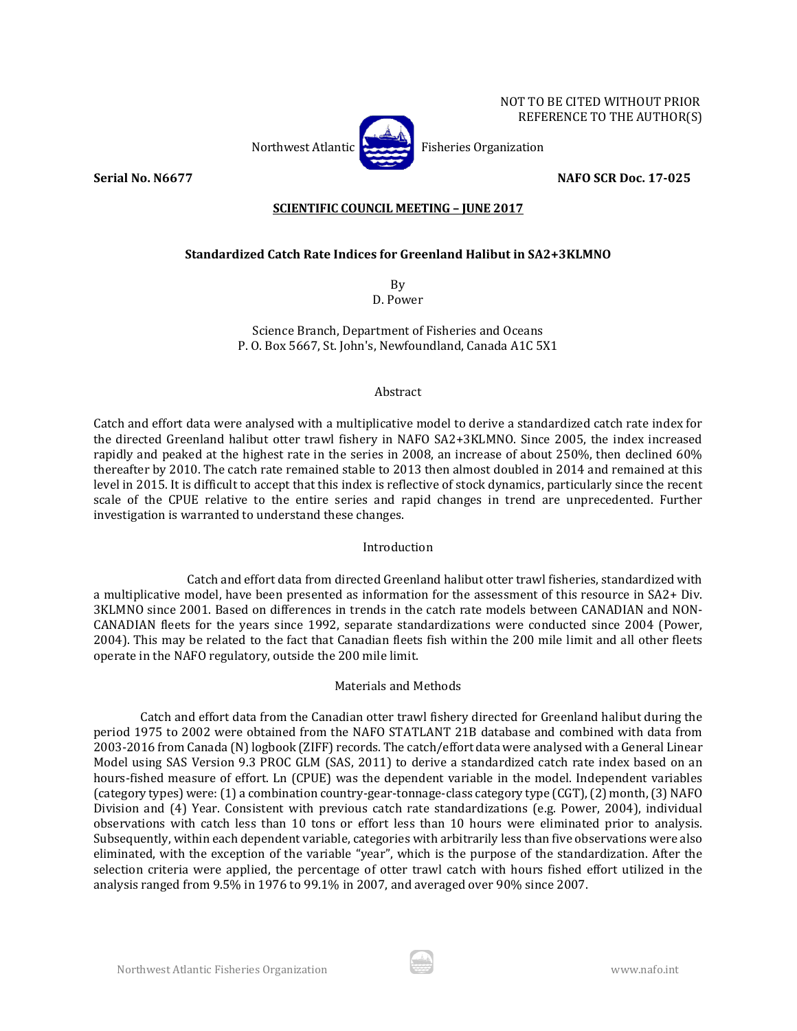NOT TO BE CITED WITHOUT PRIOR REFERENCE TO THE AUTHOR(S)

**Serial No. N6677 NAFO SCR Doc. 17-025**

# **SCIENTIFIC COUNCIL MEETING – JUNE 2017**

# **Standardized Catch Rate Indices for Greenland Halibut in SA2+3KLMNO**

By D. Power

Science Branch, Department of Fisheries and Oceans P. O. Box 5667, St. John's, Newfoundland, Canada A1C 5X1

## Abstract

Catch and effort data were analysed with a multiplicative model to derive a standardized catch rate index for the directed Greenland halibut otter trawl fishery in NAFO SA2+3KLMNO. Since 2005, the index increased rapidly and peaked at the highest rate in the series in 2008, an increase of about 250%, then declined 60% thereafter by 2010. The catch rate remained stable to 2013 then almost doubled in 2014 and remained at this level in 2015. It is difficult to accept that this index is reflective of stock dynamics, particularly since the recent scale of the CPUE relative to the entire series and rapid changes in trend are unprecedented. Further investigation is warranted to understand these changes.

## Introduction

Catch and effort data from directed Greenland halibut otter trawl fisheries, standardized with a multiplicative model, have been presented as information for the assessment of this resource in SA2+ Div. 3KLMNO since 2001. Based on differences in trends in the catch rate models between CANADIAN and NON-CANADIAN fleets for the years since 1992, separate standardizations were conducted since 2004 (Power, 2004). This may be related to the fact that Canadian fleets fish within the 200 mile limit and all other fleets operate in the NAFO regulatory, outside the 200 mile limit.

## Materials and Methods

Catch and effort data from the Canadian otter trawl fishery directed for Greenland halibut during the period 1975 to 2002 were obtained from the NAFO STATLANT 21B database and combined with data from 2003-2016 from Canada (N) logbook (ZIFF) records. The catch/effort data were analysed with a General Linear Model using SAS Version 9.3 PROC GLM (SAS, 2011) to derive a standardized catch rate index based on an hours-fished measure of effort. Ln (CPUE) was the dependent variable in the model. Independent variables (category types) were: (1) a combination country-gear-tonnage-class category type (CGT), (2) month, (3) NAFO Division and (4) Year. Consistent with previous catch rate standardizations (e.g. Power, 2004), individual observations with catch less than 10 tons or effort less than 10 hours were eliminated prior to analysis. Subsequently, within each dependent variable, categories with arbitrarily less than five observations were also eliminated, with the exception of the variable "year", which is the purpose of the standardization. After the selection criteria were applied, the percentage of otter trawl catch with hours fished effort utilized in the analysis ranged from 9.5% in 1976 to 99.1% in 2007, and averaged over 90% since 2007.



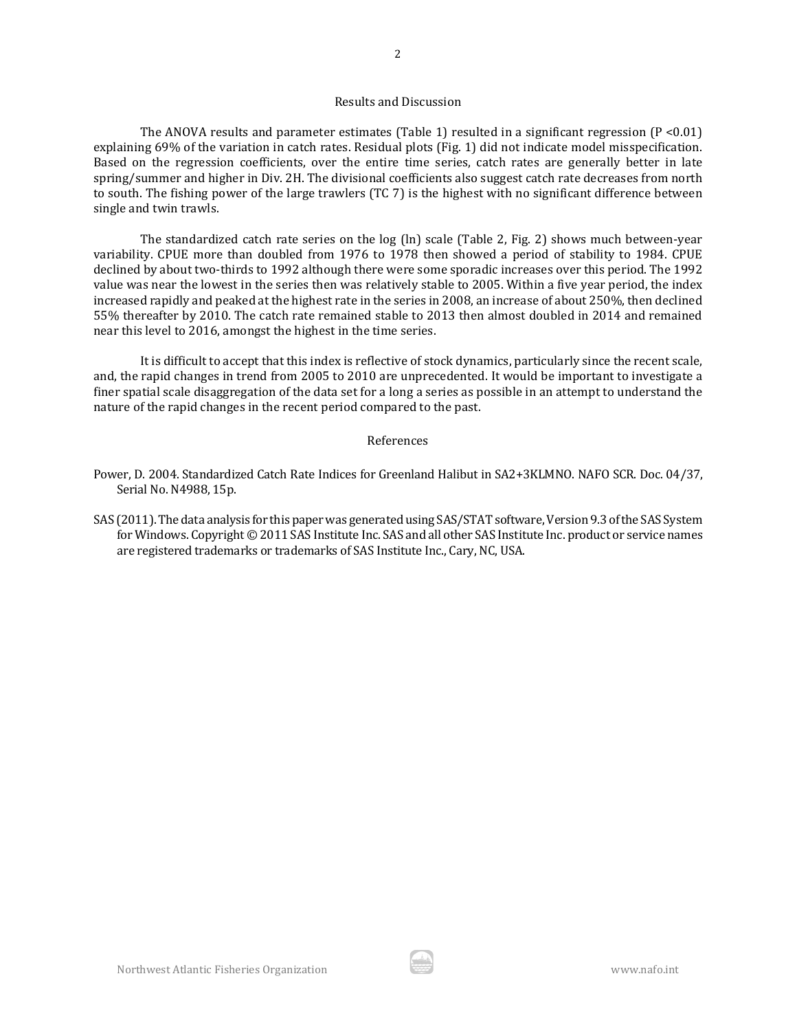#### Results and Discussion

The ANOVA results and parameter estimates (Table 1) resulted in a significant regression ( $P < 0.01$ ) explaining 69% of the variation in catch rates. Residual plots (Fig. 1) did not indicate model misspecification. Based on the regression coefficients, over the entire time series, catch rates are generally better in late spring/summer and higher in Div. 2H. The divisional coefficients also suggest catch rate decreases from north to south. The fishing power of the large trawlers (TC 7) is the highest with no significant difference between single and twin trawls.

The standardized catch rate series on the log (ln) scale (Table 2, Fig. 2) shows much between-year variability. CPUE more than doubled from 1976 to 1978 then showed a period of stability to 1984. CPUE declined by about two-thirds to 1992 although there were some sporadic increases over this period. The 1992 value was near the lowest in the series then was relatively stable to 2005. Within a five year period, the index increased rapidly and peaked at the highest rate in the series in 2008, an increase of about 250%, then declined 55% thereafter by 2010. The catch rate remained stable to 2013 then almost doubled in 2014 and remained near this level to 2016, amongst the highest in the time series.

It is difficult to accept that this index is reflective of stock dynamics, particularly since the recent scale, and, the rapid changes in trend from 2005 to 2010 are unprecedented. It would be important to investigate a finer spatial scale disaggregation of the data set for a long a series as possible in an attempt to understand the nature of the rapid changes in the recent period compared to the past.

#### References

- Power, D. 2004. Standardized Catch Rate Indices for Greenland Halibut in SA2+3KLMNO. NAFO SCR. Doc. 04/37, Serial No. N4988, 15p.
- SAS (2011). The data analysis for this paper was generated using SAS/STAT software, Version 9.3 of the SAS System for Windows. Copyright © 2011 SAS Institute Inc. SAS and all other SAS Institute Inc. product or service names are registered trademarks or trademarks of SAS Institute Inc., Cary, NC, USA.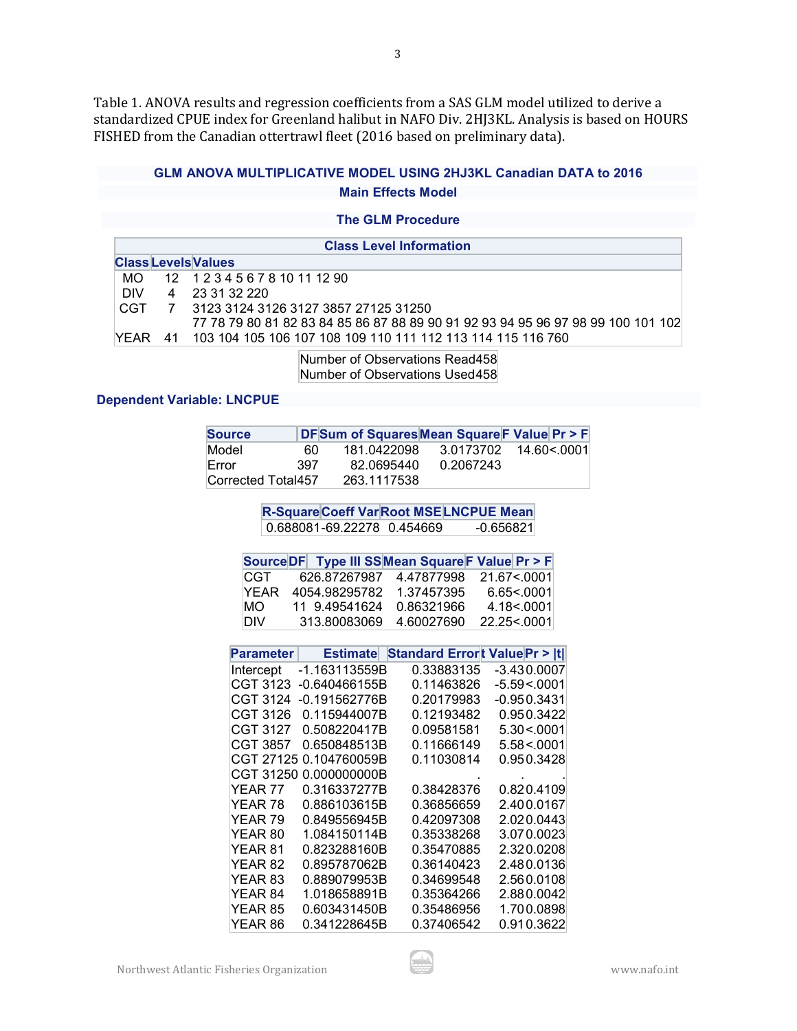Table 1. ANOVA results and regression coefficients from a SAS GLM model utilized to derive a standardized CPUE index for Greenland halibut in NAFO Div. 2HJ3KL. Analysis is based on HOURS FISHED from the Canadian ottertrawl fleet (2016 based on preliminary data).

# **GLM ANOVA MULTIPLICATIVE MODEL USING 2HJ3KL Canadian DATA to 2016 Main Effects Model**

## **The GLM Procedure**

| <b>Class Level Information</b> |  |                                                                                  |  |  |
|--------------------------------|--|----------------------------------------------------------------------------------|--|--|
| <b>Class Levels Values</b>     |  |                                                                                  |  |  |
| MO.                            |  | 12 1 2 3 4 5 6 7 8 10 11 12 90                                                   |  |  |
| DIV.                           |  | 4 23 31 32 220                                                                   |  |  |
|                                |  | CGT 7 3123 3124 3126 3127 3857 27125 31250                                       |  |  |
|                                |  | 77 78 79 80 81 82 83 84 85 86 87 88 89 90 91 92 93 94 95 96 97 98 99 100 101 102 |  |  |
|                                |  | YEAR 41 103 104 105 106 107 108 109 110 111 112 113 114 115 116 760              |  |  |

Number of Observations Read458 Number of Observations Used458

## **Dependent Variable: LNCPUE**

| <b>Source</b>      |     | DFSum of Squares Mean Square F Value Pr > F |           |                        |
|--------------------|-----|---------------------------------------------|-----------|------------------------|
| Model              | 60. | 181.0422098                                 |           | 3.0173702  14.60<.0001 |
| Error              | 397 | 82.0695440                                  | 0.2067243 |                        |
| Corrected Total457 |     | 263.1117538                                 |           |                        |

**R-SquareCoeff VarRoot MSELNCPUE Mean**<br>0.688081-69.22278 0.454669 -0.656821 0.688081-69.22278 0.454669

|      | Source DF Type III SSMean Square F Value Pr > F |            |              |
|------|-------------------------------------------------|------------|--------------|
| CGT  | 626 87267987                                    | 4.47877998 | 21.67 < 0001 |
| YFAR | 4054.98295782                                   | 1.37457395 | 6.65<.0001   |
| MO   | 11 9.49541624                                   | 0.86321966 | 4.18<.0001   |
| DIV. | 313 80083069                                    | 4 60027690 | 22.25<.0001  |

| Parameter | <b>Estimate</b> | <b>Standard Errort Value Pr &gt; Itl</b> |             |
|-----------|-----------------|------------------------------------------|-------------|
| Intercept | -1.163113559B   | 0.33883135                               | -3.430.0007 |
| CGT 3123  | -0.640466155B   | 0.11463826                               | -5.59<.0001 |
| CGT 3124  | -0.191562776B   | 0.20179983                               | -0.950.3431 |
| CGT 3126  | 0.115944007B    | 0.12193482                               | 0.950.3422  |
| CGT 3127  | 0.508220417B    | 0.09581581                               | 5.30 < 0001 |
| CGT 3857  | 0.650848513B    | 0.11666149                               | 5.58 < 0001 |
| CGT 27125 | 0.104760059B    | 0.11030814                               | 0.950.3428  |
| CGT 31250 | 0.000000000B    |                                          |             |
| YEAR 77   | 0.316337277B    | 0.38428376                               | 0.820.4109  |
| YEAR 78   | 0.886103615B    | 0.36856659                               | 2.400.0167  |
| YEAR 79   | 0.849556945B    | 0.42097308                               | 2.020.0443  |
| YEAR 80   | 1.084150114B    | 0.35338268                               | 3.070.0023  |
| YEAR 81   | 0.823288160B    | 0.35470885                               | 2.320.0208  |
| YEAR 82   | 0.895787062B    | 0.36140423                               | 2.480.0136  |
| YEAR 83   | 0.889079953B    | 0.34699548                               | 2.560.0108  |
| YEAR 84   | 1.018658891B    | 0.35364266                               | 2.880.0042  |
| YEAR 85   | 0.603431450B    | 0.35486956                               | 1.700.0898  |
| YEAR 86   | 0.341228645B    | 0.37406542                               | 0.910.3622  |

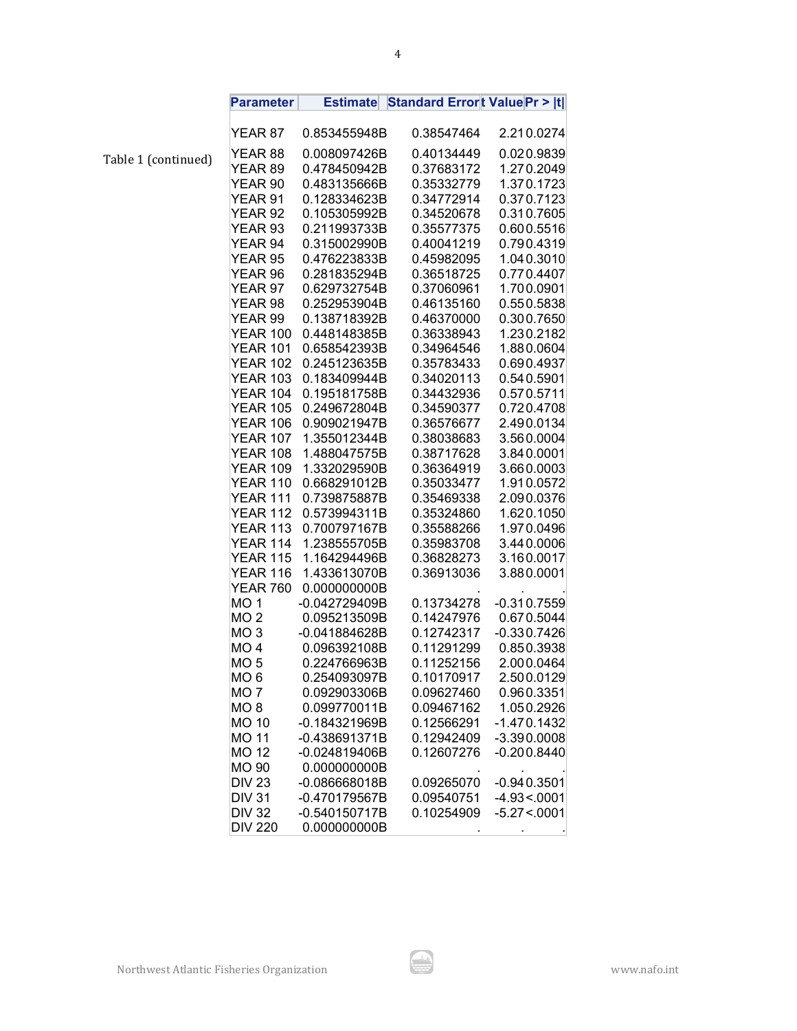|       | <b>Parameter</b>                   | <b>Estimate</b>              | <b>Standard Errort Value Pr &gt;  t </b> |                          |
|-------|------------------------------------|------------------------------|------------------------------------------|--------------------------|
|       | YEAR 87                            | 0.853455948B                 | 0.38547464                               | 2.210.0274               |
|       | YEAR 88                            | 0.008097426B                 | 0.40134449                               | 0.020.9839               |
| nued) | YEAR <sub>89</sub>                 | 0.478450942B                 | 0.37683172                               | 1.270.2049               |
|       | YEAR 90                            | 0.483135666B                 | 0.35332779                               | 1.370.1723               |
|       | YEAR 91                            | 0.128334623B                 | 0.34772914                               | 0.370.7123               |
|       | YEAR <sub>92</sub>                 | 0.105305992B                 | 0.34520678                               | 0.310.7605               |
|       | YEAR <sub>93</sub>                 | 0.211993733B                 | 0.35577375                               | 0.600.5516               |
|       | YEAR 94                            | 0.315002990B                 | 0.40041219                               | 0.790.4319               |
|       | YEAR 95                            | 0.476223833B                 | 0.45982095                               | 1.040.3010               |
|       | YEAR 96                            | 0.281835294B                 | 0.36518725                               | 0.770.4407               |
|       | YEAR 97                            | 0.629732754B                 | 0.37060961                               | 1.700.0901               |
|       | YEAR 98                            | 0.252953904B                 | 0.46135160                               | 0.550.5838               |
|       | YEAR 99                            | 0.138718392B                 | 0.46370000                               | 0.300.7650               |
|       | <b>YEAR 100</b>                    | 0.448148385B                 | 0.36338943                               | 1.230.2182               |
|       | <b>YEAR 101</b>                    | 0.658542393B                 | 0.34964546                               | 1.880.0604               |
|       | <b>YEAR 102</b>                    | 0.245123635B                 | 0.35783433                               | 0.690.4937               |
|       | <b>YEAR 103</b>                    | 0.183409944B                 | 0.34020113                               | 0.540.5901               |
|       | <b>YEAR 104</b>                    | 0.195181758B                 | 0.34432936                               | 0.570.5711               |
|       | <b>YEAR 105</b>                    | 0.249672804B                 | 0.34590377                               | 0.720.4708               |
|       | <b>YEAR 106</b>                    | 0.909021947B                 | 0.36576677                               | 2.490.0134               |
|       | <b>YEAR 107</b>                    | 1.355012344B                 | 0.38038683                               | 3.560.0004               |
|       | <b>YEAR 108</b>                    | 1.488047575B                 | 0.38717628                               | 3.840.0001               |
|       | <b>YEAR 109</b>                    | 1.332029590B                 | 0.36364919                               | 3.660.0003               |
|       | YEAR 110                           | 0.668291012B                 | 0.35033477                               | 1.910.0572               |
|       | YEAR 111                           | 0.739875887B                 | 0.35469338                               | 2.090.0376               |
|       | <b>YEAR 112</b>                    | 0.573994311B                 | 0.35324860                               | 1.620.1050               |
|       | <b>YEAR 113</b><br><b>YEAR 114</b> | 0.700797167B<br>1.238555705B | 0.35588266<br>0.35983708                 | 1.970.0496<br>3.440.0006 |
|       | <b>YEAR 115</b>                    | 1.164294496B                 | 0.36828273                               | 3.160.0017               |
|       | <b>YEAR 116</b>                    | 1.433613070B                 | 0.36913036                               | 3.880.0001               |
|       | <b>YEAR 760</b>                    | 0.000000000B                 |                                          |                          |
|       | MO <sub>1</sub>                    | -0.042729409B                | 0.13734278                               | $-0.310.7559$            |
|       | MO <sub>2</sub>                    | 0.095213509B                 | 0.14247976                               | 0.670.5044               |
|       | MO <sub>3</sub>                    | -0.041884628B                | 0.12742317                               | $-0.330.7426$            |
|       | MO <sub>4</sub>                    | 0.096392108B                 | 0.11291299                               | 0.850.3938               |
|       | MO <sub>5</sub>                    | 0.224766963B                 | 0.11252156                               | 2.000.0464               |
|       | MO 6                               | 0.254093097B                 | 0.10170917                               | 2.500.0129               |
|       | MO <sub>7</sub>                    | 0.092903306B                 | 0.09627460                               | 0.960.3351               |
|       | MO <sub>8</sub>                    | 0.099770011B                 | 0.09467162                               | 1.050.2926               |
|       | <b>MO 10</b>                       | -0.184321969B                | 0.12566291                               | $-1.470.1432$            |
|       | <b>MO 11</b>                       | -0.438691371B                | 0.12942409                               | $-3.390.0008$            |
|       | <b>MO 12</b>                       | -0.024819406B                | 0.12607276                               | $-0.200.8440$            |
|       | <b>MO 90</b>                       | 0.000000000B                 |                                          |                          |
|       | <b>DIV 23</b>                      | -0.086668018B                | 0.09265070                               | $-0.940.3501$            |
|       | <b>DIV 31</b>                      | -0.470179567B                | 0.09540751                               | $-4.93 < 0001$           |
|       | <b>DIV 32</b>                      | -0.540150717B                | 0.10254909                               | $-5.27 < 0001$           |
|       | <b>DIV 220</b>                     | 0.000000000B                 |                                          |                          |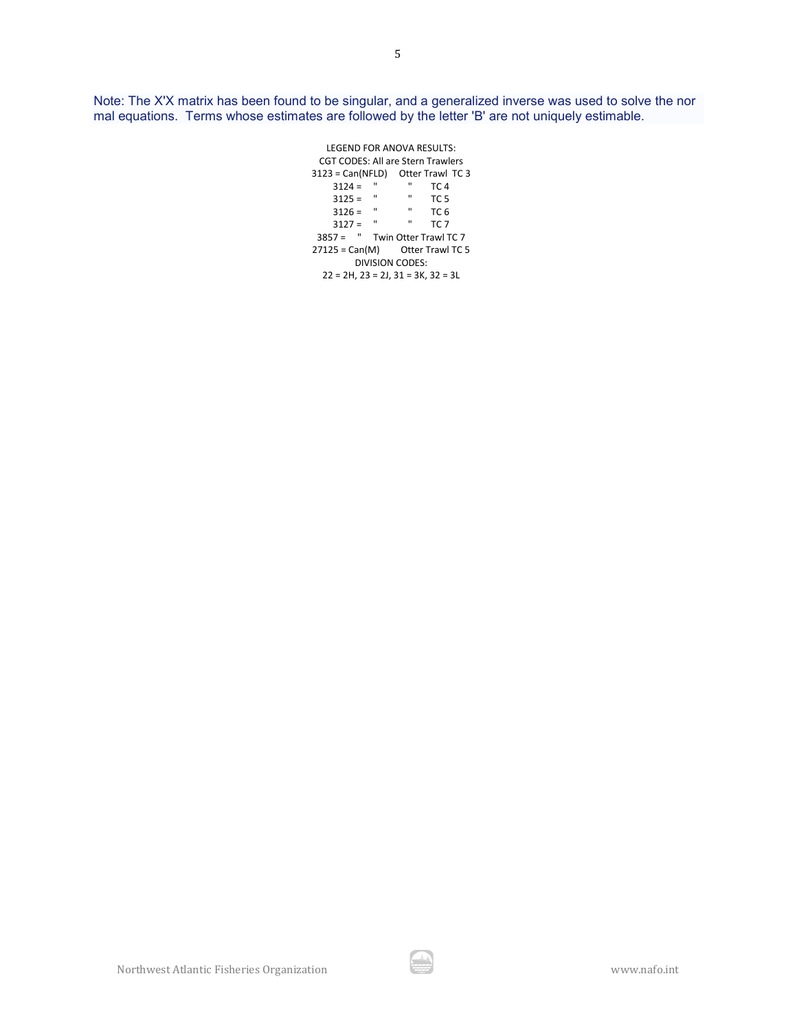Note: The X'X matrix has been found to be singular, and a generalized inverse was used to solve the nor mal equations. Terms whose estimates are followed by the letter 'B' are not uniquely estimable.

> LEGEND FOR ANOVA RESULTS: CGT CODES: All are Stern Trawlers  $3123 = Can(NFLD)$  Otter Trawl TC 3<br> $3124 = " " TC 4$  $3124 = " " " "$ <br> $3125 = " " "$  $3125 =$  "  $TC5$ <br> $3126 =$  "  $TC6$ 3126 = " TC 6<br>3127 = " TC 7  $3127 = "$ 3857 = " Twin Otter Trawl TC 7  $27125 = Can(M)$  Otter Trawl TC 5 DIVISION CODES: 22 = 2H, 23 = 2J, 31 = 3K, 32 = 3L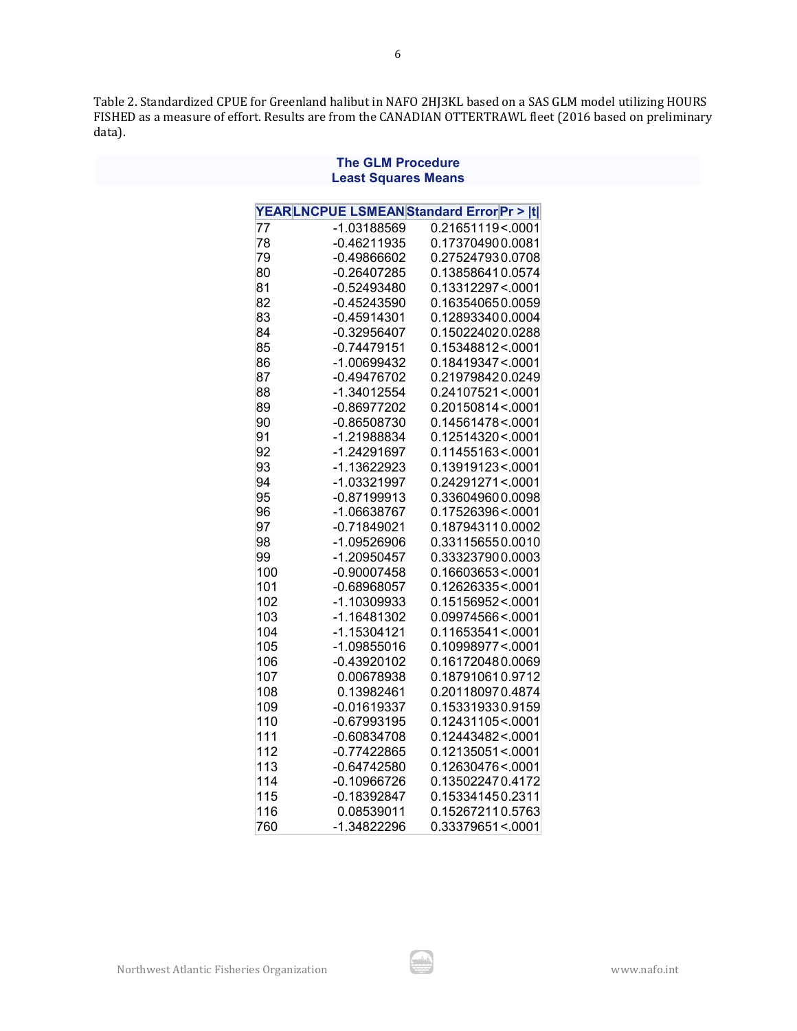Table 2. Standardized CPUE for Greenland halibut in NAFO 2HJ3KL based on a SAS GLM model utilizing HOURS FISHED as a measure of effort. Results are from the CANADIAN OTTERTRAWL fleet (2016 based on preliminary data).

**The GLM Procedure**

| <b>Least Squares Means</b>              |                                |                                         |  |  |
|-----------------------------------------|--------------------------------|-----------------------------------------|--|--|
| YEARLNCPUE LSMEANStandard Error Pr >  t |                                |                                         |  |  |
| 77                                      | -1.03188569                    | 0.21651119<.0001                        |  |  |
| 78                                      | $-0.46211935$                  | 0.173704900.0081                        |  |  |
| 79                                      | $-0.49866602$                  | 0.275247930.0708                        |  |  |
| 80                                      | $-0.26407285$                  | 0.138586410.0574                        |  |  |
| 81                                      | $-0.52493480$                  | 0.13312297 <.0001                       |  |  |
| 82                                      | $-0.45243590$                  | 0.163540650.0059                        |  |  |
| 83                                      | $-0.45914301$                  | 0.128933400.0004                        |  |  |
| 84                                      | -0.32956407                    | 0.150224020.0288                        |  |  |
| 85                                      | $-0.74479151$                  | 0.15348812 <. 0001                      |  |  |
| 86                                      | -1.00699432                    | 0.18419347 <. 0001                      |  |  |
| 87                                      | -0.49476702                    | 0.219798420.0249                        |  |  |
| 88                                      | -1.34012554                    | 0.24107521 < 0001                       |  |  |
| 89                                      | -0.86977202                    | 0.20150814<.0001                        |  |  |
| 90                                      | -0.86508730                    | 0.14561478 <. 0001                      |  |  |
| 91                                      | -1.21988834                    | 0.12514320 <. 0001                      |  |  |
| 92                                      | -1.24291697                    | 0.11455163<.0001                        |  |  |
| 93                                      | -1.13622923                    | 0.13919123<.0001                        |  |  |
| 94                                      | -1.03321997                    | 0.24291271 <. 0001                      |  |  |
| 95                                      | $-0.87199913$                  | 0.336049600.0098                        |  |  |
| 96                                      | -1.06638767                    | 0.17526396 <. 0001                      |  |  |
| 97                                      | $-0.71849021$                  | 0.187943110.0002                        |  |  |
| 98                                      | -1.09526906                    | 0.331156550.0010                        |  |  |
| 99                                      | -1.20950457                    | 0.333237900.0003                        |  |  |
| 100                                     | $-0.90007458$                  | 0.16603653<.0001                        |  |  |
| 101                                     | -0.68968057                    | 0.12626335 <. 0001                      |  |  |
| 102                                     | -1.10309933                    | 0.15156952<0001                         |  |  |
| 103                                     | -1.16481302                    | 0.09974566 <.0001                       |  |  |
| 104                                     | $-1.15304121$                  | $0.11653541 \le 0001$                   |  |  |
| 105                                     | -1.09855016                    | 0.10998977 <. 0001                      |  |  |
| 106                                     | $-0.43920102$                  | 0.161720480.0069                        |  |  |
| 107                                     | 0.00678938                     | 0.187910610.9712                        |  |  |
| 108                                     | 0.13982461                     | 0.201180970.4874                        |  |  |
| 109<br>110                              | $-0.01619337$                  | 0.153319330.9159                        |  |  |
| 111                                     | $-0.67993195$<br>$-0.60834708$ | 0.12431105 <. 0001<br>0.12443482 <.0001 |  |  |
| 112                                     | $-0.77422865$                  | 0.12135051<.0001                        |  |  |
| 113                                     | $-0.64742580$                  | 0.12630476 <. 0001                      |  |  |
| 114                                     | -0.10966726                    | 0.135022470.4172                        |  |  |
| 115                                     | $-0.18392847$                  | 0.153341450.2311                        |  |  |
| 116                                     | 0.08539011                     | 0.152672110.5763                        |  |  |
| 760                                     | -1.34822296                    | 0.33379651 <. 0001                      |  |  |
|                                         |                                |                                         |  |  |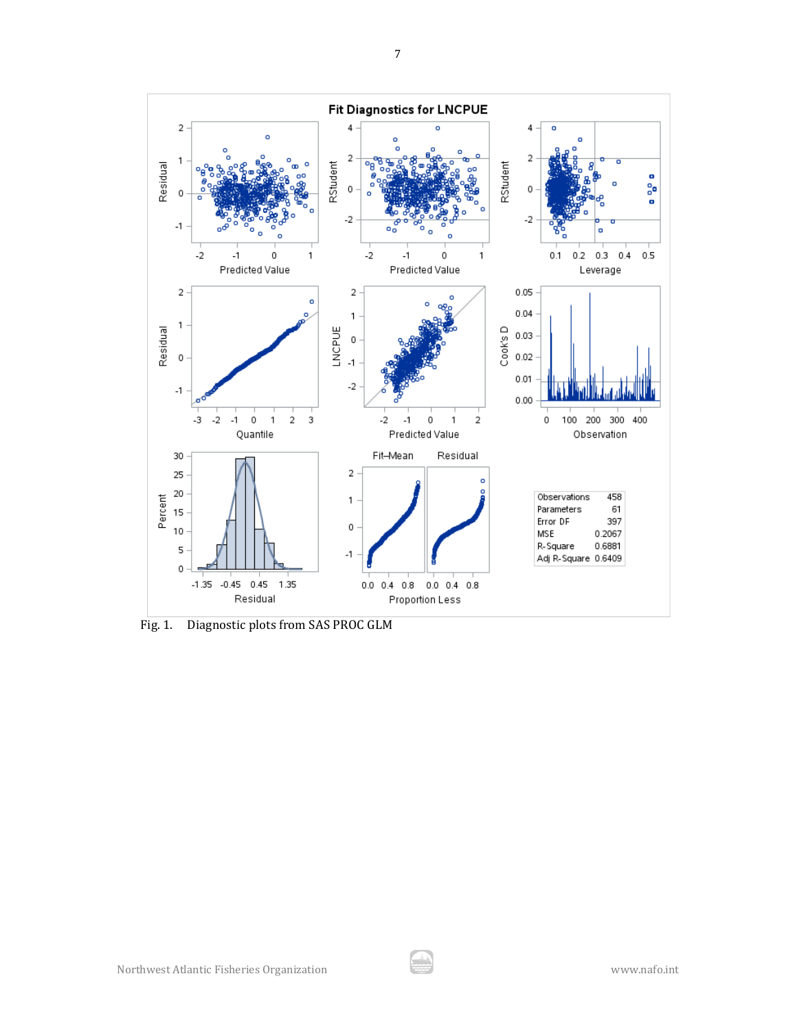

Fig. 1. Diagnostic plots from SAS PROC GLM